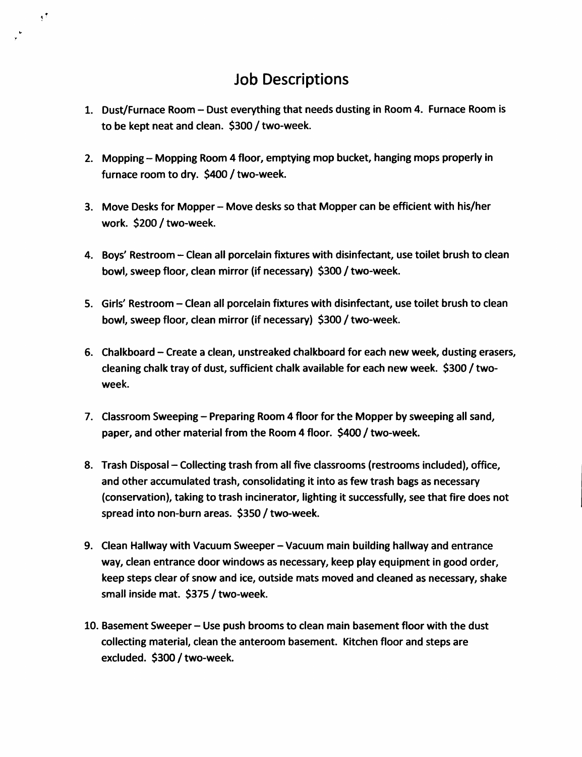### **Job Descriptions**

 $\mathbf{1}^{\bullet}$ 

- **1. Dust/Furnace Room-Dust everything that needs dusting in Room 4. Furnace Room is to be kept neat and clean. \$300 / two-week.**
- **2. Mopping-Mopping Room <sup>4</sup> floor, emptying mop bucket,hanging mops properly in furnace room to dry. \$400 / two-week.**
- **3. Move Desks for Mopper-Move desks so that Mopper can be efficient with his/her work. \$200 / two-week.**
- **4. Boys' Restroom-Clean all porcelain fixtures with disinfectant,use toilet brush to clean bowl,sweep floor, clean mirror (if necessary) \$300 / two-week.**
- **5. Girls' Restroom-Clean all porcelain fixtures with disinfectant, use toilet brush to clean bowl, sweep floor, clean mirror (if necessary) \$300 / two-week.**
- **6. Chalkboard-Create <sup>a</sup> clean,unstreaked chalkboard for each new week, dusting erasers, cleaning chalk tray of dust, sufficient chalk available for each new week. \$300 / twoweek.**
- **7. Classroom Sweeping-Preparing Room <sup>4</sup> floor for the Mopper by sweeping all sand, paper,and other material from the Room <sup>4</sup> floor. \$400 / two-week.**
- **8. Trash Disposal-Collecting trash from all five classrooms (restrooms included),office, and other accumulated trash,consolidating it into as few trash bags as necessary (conservation), taking to trash incinerator,lighting it successfully, see that fire does not spread into non-burn areas. \$350 / two-week.**
- **9. Clean Hallway with Vacuum Sweeper-Vacuum main building hallway and entrance way, clean entrance door windows as necessary, keep play equipment in good order, keep steps clear of snow and ice,outside mats moved and cleaned as necessary, shake small inside mat. \$375 / two-week.**
- **10. Basement Sweeper-Use push brooms to clean main basement floor with the dust collecting material, clean the anteroom basement. Kitchen floor and steps are excluded. \$300 / two-week.**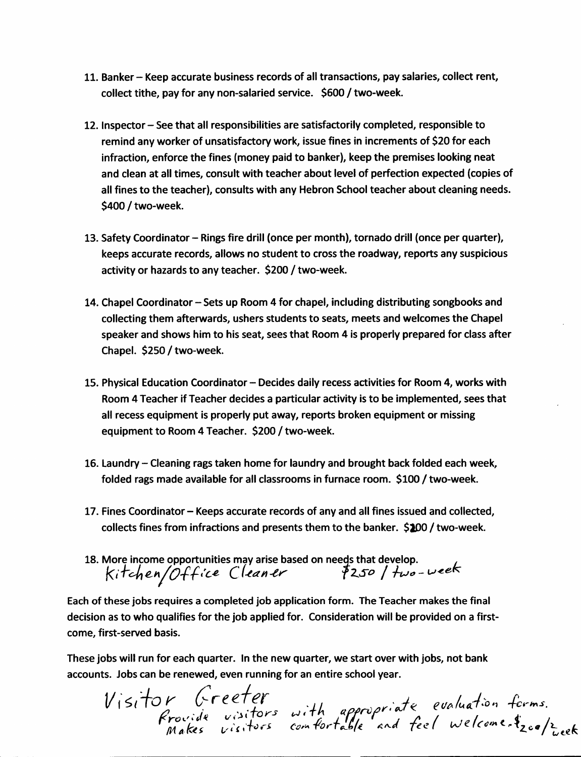- **11. Banker-Keep accurate business records of all transactions, pay salaries, collect rent, collect tithe, pay for any non-salaried service. \$600 / two-week.**
- **12. Inspector-See that all responsibilities are satisfactorily completed,responsible to remind any worker of unsatisfactory work, issue fines in increments of \$20 for each infraction, enforce the fines (money paid to banker), keep the premises looking neat and clean at all times, consult with teacher about level of perfection expected (copies of all fines to the teacher), consults with any Hebron School teacher about cleaning needs. \$400 / two-week.**
- **13. Safety Coordinator-Rings fire drill (once per month),tornado drill (once per quarter), keeps accurate records, allows no student to cross the roadway,reports any suspicious activity or hazards to any teacher. \$200 / two-week.**
- **14. Chapel Coordinator-Sets up Room <sup>4</sup> for chapel,including distributing songbooks and collecting them afterwards, ushers students to seats, meets and welcomes the Chapel speaker and shows him to his seat, sees that Room <sup>4</sup> is properly prepared for class after Chapel. \$250 / two-week.**
- **15. Physical Education Coordinator-Decides daily recess activities for Room 4, works with Room 4 Teacher if Teacher decides <sup>a</sup> particular activity is to be implemented, sees that all recess equipment is properly put away,reports broken equipment or missing equipment to Room <sup>4</sup> Teacher. \$200 / two-week.**
- **16. Laundry-Cleaning rags taken home for laundry and brought back folded each week, folded rags made available for all classrooms in furnace room. \$100 / two-week.**
- **17. Fines Coordinator-Keeps accurate records of any and all fines issued and collected, collects fines from infractions and presents them to the banker. \$200 / two-week.**
- **18. More income opportunities may arise based on needs that develop.** Fines Coordinator – Keeps accurate records or any and all fines issue<br>
collects fines from infractions and presents them to the banker. \$2<br>
More income opportunities may arise based on needs that develop<br>
Kitchen/Office C

**Each of these jobs requires a completed job application form. The Teacher makes the final decision as to who qualifies for the job applied for. Consideration will be provided on a firstcome, first-served basis.**

**These jobs will run for each quarter. In the new quarter, we start over with jobs,not bank accounts. Jobs can be renewed, even running for an entire school year.**

Visitor Greeter with *appropriate* evaluation forms.  $\frac{C}{\sqrt{3}}$ *itors* with *Arovide* visitors with the *video visitors* with *ili* **\*** *k \* k visitors* comfortable and feel welcome.<sup>4</sup><sub>20</sub>0/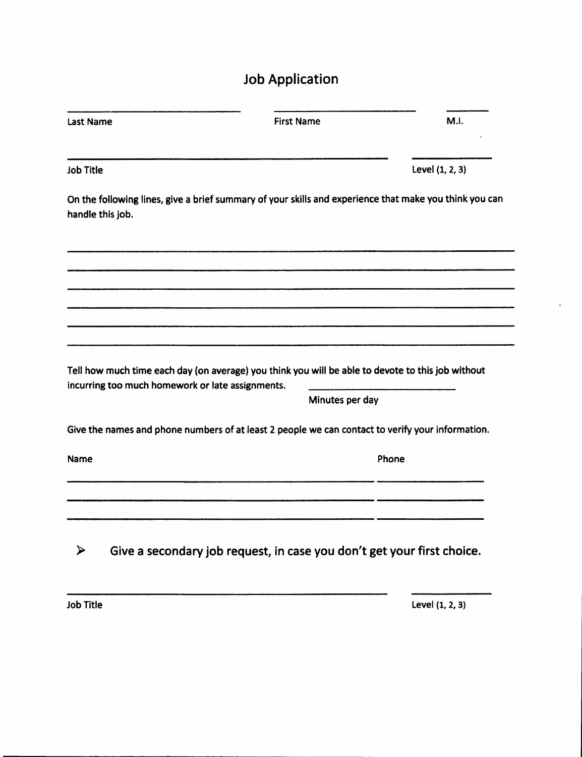# **Job Application**

| <b>Last Name</b>                                                                                                                                      | <b>First Name</b> | M.l.            |  |  |  |  |
|-------------------------------------------------------------------------------------------------------------------------------------------------------|-------------------|-----------------|--|--|--|--|
| Job Title                                                                                                                                             |                   | Level (1, 2, 3) |  |  |  |  |
| On the following lines, give a brief summary of your skills and experience that make you think you can<br>handle this job.                            |                   |                 |  |  |  |  |
|                                                                                                                                                       |                   |                 |  |  |  |  |
|                                                                                                                                                       |                   |                 |  |  |  |  |
|                                                                                                                                                       |                   |                 |  |  |  |  |
|                                                                                                                                                       |                   |                 |  |  |  |  |
| Tell how much time each day (on average) you think you will be able to devote to this job without<br>incurring too much homework or late assignments. |                   |                 |  |  |  |  |
|                                                                                                                                                       | Minutes per day   |                 |  |  |  |  |
| Give the names and phone numbers of at least 2 people we can contact to verify your information.                                                      |                   |                 |  |  |  |  |
| Name                                                                                                                                                  | Phone             |                 |  |  |  |  |
|                                                                                                                                                       |                   |                 |  |  |  |  |
|                                                                                                                                                       |                   |                 |  |  |  |  |
| Give a secondary job request, in case you don't get your first choice.<br>⋗                                                                           |                   |                 |  |  |  |  |

**Job Title Level (1, 2, 3)**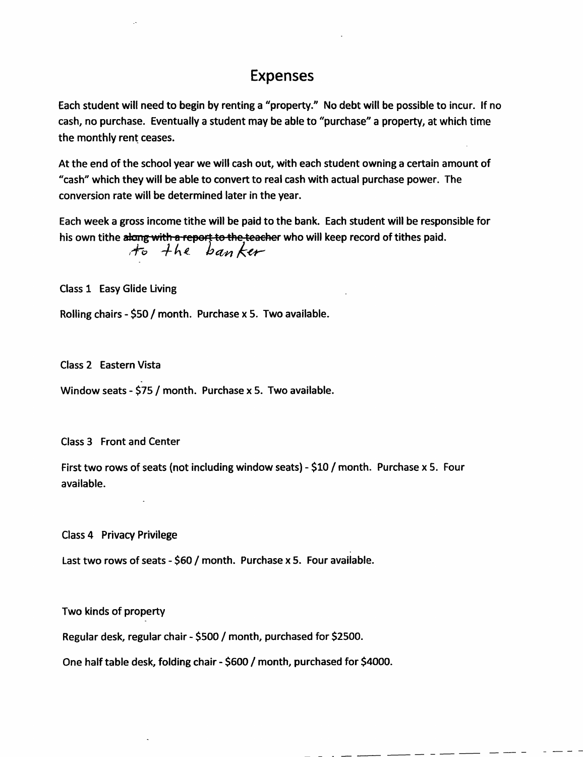#### Expenses

Each student will need to begin by renting a "property." No debt will be possible to incur. If no **cash, no purchase. Eventually <sup>a</sup> student may be able to "purchase" <sup>a</sup> property, at which time the monthly rent ceases.**

At the end of the school year we will cash out, with each student owning a certain amount of **"cash" which they will be able to convert to real cash with actual purchase power. The conversion rate will be determined later in the year.**

**Each week a gross income tithe will be paid to the bank. Each student will be responsible for his own tithe along with o report to-the teacher who will keep record of tithes paid.**

*'f 'o* <sup>A</sup> *<sup>4</sup> bti-yi*

**Class 1 Easy Glide Living**

**Rolling chairs - \$50 / month. Purchase <sup>x</sup> 5. Two available.**

**Class 2 Eastern Vista**

**Window seats - \$75 / month. Purchase <sup>x</sup> 5. Two available.**

**Class 3 Front and Center**

**First two rows of seats (not including window seats) - \$10 / month. Purchase <sup>x</sup> 5. Four available.**

**Class 4 Privacy Privilege**

**Last two rows of seats - \$60 / month. Purchase <sup>x</sup> 5. Four available.**

**Two kinds of property**

**Regular desk,regular chair - \$500 / month,purchased for \$2500.**

**One half table desk, folding chair - \$600 / month, purchased for \$4000.**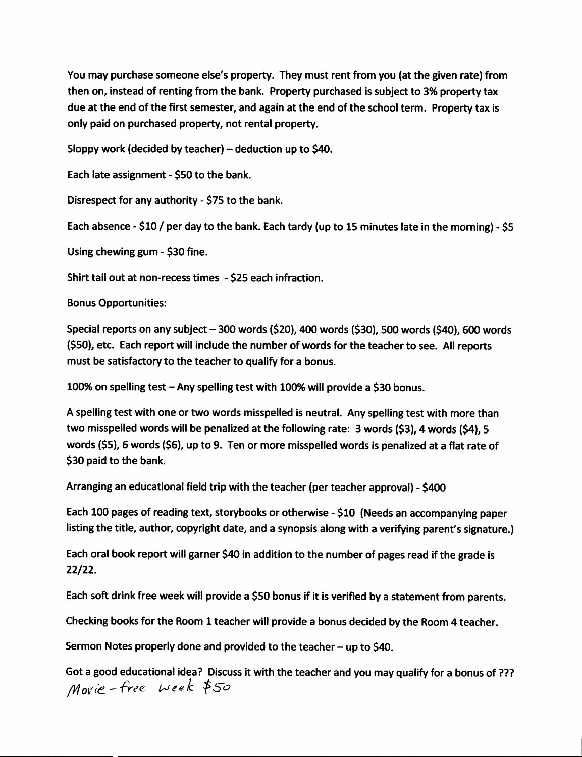**You may purchase someone else's property. They must rent from you (at the given rate) from then on, instead of renting from the bank. Property purchased is subject to 3% property tax** due at the end of the first semester, and again at the end of the school term. Property tax is **only** paid on purchased property, not rental property.

**Sloppy work (decided by teacher)-deduction up to \$40.**

**Each late assignment - \$50 to the bank.**

**Disrespect for any authority - \$75 to the bank.**

Each absence - \$10 / per day to the bank. Each tardy (up to 15 minutes late in the morning) - \$5

**Using chewinggum - \$30 fine.**

**Shirt tail out at non-recess times - \$25 each infraction.**

**Bonus Opportunities:**

**Special reports on any subject-300 words (\$20), <sup>400</sup> words (\$30), <sup>500</sup> words (\$40), <sup>600</sup> words (\$50), etc. Each report will include the number of words for the teacher to see. All reports must be satisfactory to the teacher to qualify for a bonus.**

**100% on spelling test-Any spelling test with 100% will provide <sup>a</sup> \$30 bonus.**

**A spelling test with one or two words misspelled is neutral. Any spelling test with more than two misspelled words will be penalized at the following rate: <sup>3</sup> words (\$3), 4 words (\$4), <sup>5</sup>** words (\$5), 6 words (\$6), up to 9. Ten or more misspelled words is penalized at a flat rate of **\$30 paid to the bank.**

**Arranging an educational field trip with the teacher (per teacher approval) - \$400**

**Each <sup>100</sup> pages of reading text, storybooks or otherwise - \$10 (Needs an accompanying paper listing the title, author, copyright date, and <sup>a</sup> synopsis along with <sup>a</sup> verifying parent's signature.)**

Each oral book report will garner \$40 in addition to the number of pages read if the grade is **<sup>22</sup>**/**22**.

Each soft drink free week will provide a \$50 bonus if it is verified by a statement from parents.

**Checking books for the Room 1teacher will provide <sup>a</sup> bonus decided by the Room 4 teacher.**

**Sermon Notes properly done and provided to the teacher-up to \$40.**

Got a good educational idea? Discuss it with the teacher and you may qualify for a bonus of ??? */Vlo\/ i£ — free. t^ J e e k \$S ~ o*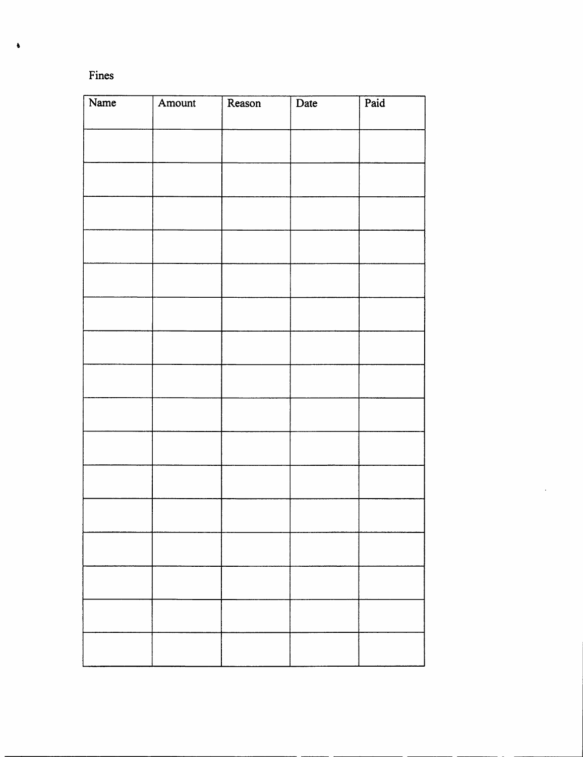| ۰. | ٧ |
|----|---|

| Name | Amount | Reason | Date | Paid |
|------|--------|--------|------|------|
|      |        |        |      |      |
|      |        |        |      |      |
|      |        |        |      |      |
|      |        |        |      |      |
|      |        |        |      |      |
|      |        |        |      |      |
|      |        |        |      |      |
|      |        |        |      |      |
|      |        |        |      |      |
|      |        |        |      |      |
|      |        |        |      |      |
|      |        |        |      |      |
|      |        |        |      |      |
|      |        |        |      |      |
|      |        |        |      |      |
|      |        |        |      |      |
|      |        |        |      |      |
|      |        |        |      |      |
|      |        |        |      |      |
|      |        |        |      |      |
|      |        |        |      |      |
|      |        |        |      |      |
|      |        |        |      |      |
|      |        |        |      |      |
|      |        |        |      |      |
|      |        |        |      |      |

**t**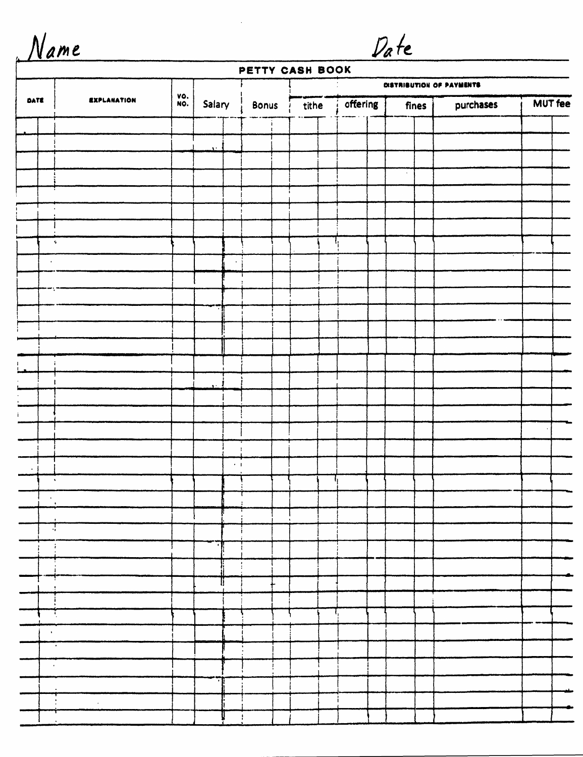|  |  |  |  |  | Name |  |
|--|--|--|--|--|------|--|
|--|--|--|--|--|------|--|

#### **PETTY CASH BOOK**

Date

|                          |                    |            |              |           | DISTRIBUTION OF PAYMENTS |  |       |  |                       |  |  |       |           |                |  |
|--------------------------|--------------------|------------|--------------|-----------|--------------------------|--|-------|--|-----------------------|--|--|-------|-----------|----------------|--|
| DATE                     | <b>EXPLANATION</b> | VO.<br>NO. | Salary       |           | Bonus                    |  | tithe |  | <sub>i</sub> offering |  |  | fines | purchases | <b>MUT fee</b> |  |
|                          |                    |            |              |           |                          |  |       |  |                       |  |  |       |           |                |  |
|                          |                    |            | $\mathbf{M}$ |           |                          |  |       |  |                       |  |  |       |           |                |  |
|                          |                    |            |              |           |                          |  |       |  |                       |  |  |       |           |                |  |
|                          |                    |            |              |           |                          |  |       |  |                       |  |  |       |           |                |  |
|                          |                    |            |              |           |                          |  |       |  |                       |  |  |       |           |                |  |
|                          |                    |            |              |           |                          |  |       |  |                       |  |  |       |           |                |  |
|                          |                    |            |              |           |                          |  |       |  |                       |  |  |       |           |                |  |
|                          | $\tau_{\rm e}$     |            |              |           |                          |  |       |  |                       |  |  |       |           |                |  |
| $\bullet$                |                    |            |              |           |                          |  |       |  |                       |  |  |       |           |                |  |
|                          |                    |            |              |           |                          |  |       |  |                       |  |  |       |           |                |  |
|                          |                    |            |              |           |                          |  |       |  |                       |  |  |       |           |                |  |
|                          |                    |            |              |           |                          |  |       |  |                       |  |  |       |           |                |  |
|                          |                    |            |              |           |                          |  |       |  |                       |  |  |       |           |                |  |
|                          |                    |            |              |           |                          |  |       |  |                       |  |  |       |           |                |  |
| ÷                        |                    |            |              |           |                          |  |       |  |                       |  |  |       |           |                |  |
|                          |                    |            |              |           |                          |  |       |  |                       |  |  |       |           |                |  |
|                          |                    |            |              |           |                          |  |       |  |                       |  |  |       |           |                |  |
|                          |                    |            |              |           |                          |  |       |  |                       |  |  |       |           |                |  |
|                          |                    |            |              |           |                          |  |       |  |                       |  |  |       |           |                |  |
|                          |                    |            |              |           |                          |  |       |  |                       |  |  |       |           |                |  |
|                          |                    |            |              | $\cdot$ 1 |                          |  |       |  |                       |  |  |       |           |                |  |
|                          | $\bullet$          |            |              |           |                          |  |       |  |                       |  |  |       |           |                |  |
| $\bullet$                |                    |            |              |           |                          |  |       |  |                       |  |  |       |           |                |  |
|                          |                    |            |              |           |                          |  |       |  |                       |  |  |       |           |                |  |
| $\overline{a}$           |                    |            |              |           |                          |  |       |  |                       |  |  |       |           |                |  |
|                          | $\ddot{i}$         |            |              |           |                          |  |       |  |                       |  |  |       |           |                |  |
|                          |                    |            |              |           |                          |  |       |  |                       |  |  |       |           |                |  |
| للقسي                    |                    |            |              | ij.       |                          |  |       |  |                       |  |  |       |           |                |  |
| $\mathbb{R}$             |                    |            |              |           |                          |  |       |  |                       |  |  |       |           |                |  |
| $\overline{\phantom{a}}$ |                    |            |              |           |                          |  | ñ.    |  | ₹,                    |  |  |       |           |                |  |
| $\sim 0.5$               |                    |            |              |           |                          |  |       |  |                       |  |  |       |           |                |  |
| $\frac{1}{\sqrt{2}}$     |                    |            |              |           |                          |  |       |  |                       |  |  |       |           |                |  |
| $\sim 40\%$              |                    |            |              |           |                          |  |       |  |                       |  |  |       |           |                |  |
|                          |                    |            |              |           |                          |  |       |  |                       |  |  |       |           |                |  |
|                          |                    |            |              |           |                          |  |       |  |                       |  |  |       |           |                |  |
|                          |                    |            |              |           |                          |  |       |  |                       |  |  |       |           |                |  |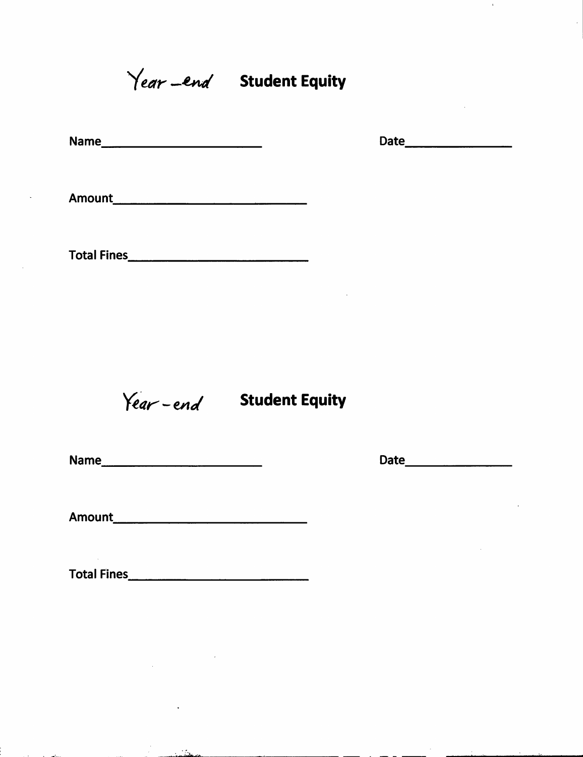Year -end Student Equity

| Name | Date |
|------|------|
| ---  |      |

 $\bar{\mathbf{z}}$ 

Amount

Total Fines

*Year*-*end* Student Equity

Name Date

 $\sim$ 

Amount

Total Fines

 $\mathcal{L}_{\text{max}}$ 

-•

ر<br>آتشمن